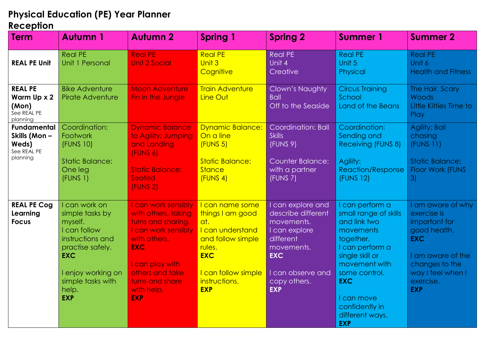## **Physical Education (PE) Year Planner**

## **Reception**

| <b>Term</b>                                                            | <b>Autumn 1</b>                                                                                                                                                                     | <b>Autumn 2</b>                                                                                                                                                                                            | <b>Spring 1</b>                                                                                                                                                   | <b>Spring 2</b>                                                                                                                                                    | <b>Summer 1</b>                                                                                                                                                                                                                           | <b>Summer 2</b>                                                                                                                                                        |
|------------------------------------------------------------------------|-------------------------------------------------------------------------------------------------------------------------------------------------------------------------------------|------------------------------------------------------------------------------------------------------------------------------------------------------------------------------------------------------------|-------------------------------------------------------------------------------------------------------------------------------------------------------------------|--------------------------------------------------------------------------------------------------------------------------------------------------------------------|-------------------------------------------------------------------------------------------------------------------------------------------------------------------------------------------------------------------------------------------|------------------------------------------------------------------------------------------------------------------------------------------------------------------------|
| <b>REAL PE Unit</b>                                                    | <b>Real PE</b><br>Unit 1 Personal                                                                                                                                                   | <b>Real PE</b><br><b>Unit 2 Social</b>                                                                                                                                                                     | <b>Real PE</b><br>Unit 3<br>Cognitive                                                                                                                             | <b>Real PE</b><br>Unit 4<br>Creative                                                                                                                               | <b>Real PE</b><br>Unit 5<br>Physical                                                                                                                                                                                                      | <b>Real PE</b><br>Unit 6<br><b>Health and Fitness</b>                                                                                                                  |
| <b>REAL PE</b><br>Warm Up x 2<br>(Mon)<br>See REAL PE<br>planning      | <b>Bike Adventure</b><br><b>Pirate Adventure</b>                                                                                                                                    | <b>Moon Adventure</b><br>Fin in the Jungle                                                                                                                                                                 | <b>Train Adventure</b><br>Line Out                                                                                                                                | Clown's Naughty<br><b>Ball</b><br>Off to the Seaside                                                                                                               | <b>Circus Training</b><br>School<br>Land of the Beans                                                                                                                                                                                     | The Hair, Scary<br>Woods<br>Little Kitties Time to<br>Play                                                                                                             |
| <b>Fundamental</b><br>Skills (Mon-<br>Weds)<br>See REAL PE<br>planning | Coordination:<br>Footwork<br>(FUNS 10)<br><b>Static Balance:</b><br>One leg<br>(FUNS 1)                                                                                             | <b>Dynamic Balance</b><br>to Agility: Jumping<br>and Landing<br>(FUNS 6)<br><b>Static Balance:</b><br>Seated<br>(FUNS 2)                                                                                   | <b>Dynamic Balance:</b><br>On a line<br>(FUNS <sub>5</sub> )<br><b>Static Balance:</b><br>Stance<br>(FUNS 4)                                                      | Coordination: Ball<br><b>Skills</b><br>(FUNS 9)<br><b>Counter Balance:</b><br>with a partner<br>(FUNS 7)                                                           | Coordination:<br>Sending and<br><b>Receiving (FUNS 8)</b><br>Agility:<br><b>Reaction/Response</b><br>(FUNS 12)                                                                                                                            | <b>Agility: Ball</b><br>chasing<br>(FUNS 11)<br><b>Static Balance:</b><br>Floor Work (FUNS<br>3)                                                                       |
| <b>REAL PE Cog</b><br>Learning<br><b>Focus</b>                         | I can work on<br>simple tasks by<br>myself.<br>I can follow<br>instructions and<br>practise safely.<br><b>EXC</b><br>I enjoy working on<br>simple tasks with<br>help.<br><b>EXP</b> | I can work sensibly<br>with others, taking<br>turns and sharing.<br>I can work sensibly<br>with others.<br><b>EXC</b><br>I can play with<br>others and take<br>turns and share<br>with help.<br><b>EXP</b> | I can name some<br>things I am good<br>at.<br>I can understand<br>and follow simple<br>rules.<br><b>EXC</b><br>I can follow simple<br>instructions.<br><b>EXP</b> | I can explore and<br>describe different<br>movements.<br>I can explore<br>different<br>movements.<br><b>EXC</b><br>I can observe and<br>copy others.<br><b>EXP</b> | I can perform a<br>small range of skills<br>and link two<br>movements<br>together.<br>I can perform a<br>single skill or<br>movement with<br>some control.<br><b>EXC</b><br>I can move<br>confidently in<br>different ways.<br><b>EXP</b> | I am aware of why<br>exercise is<br>important for<br>good health.<br><b>EXC</b><br>I am aware of the<br>changes to the<br>way I feel when I<br>exercise.<br><b>EXP</b> |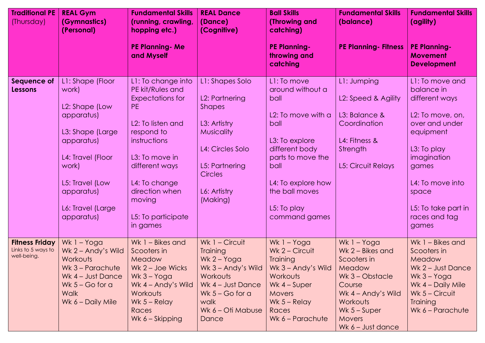| <b>Traditional PE</b><br>(Thursday)                        | <b>REAL Gym</b><br>(Gymnastics)<br>(Personal)                                                                                                                                                 | <b>Fundamental Skills</b><br>(running, crawling,<br>hopping etc.)                                                                                                                                                                              | <b>REAL Dance</b><br>(Dance)<br>(Cognitive)                                                                                                                                 | <b>Ball Skills</b><br>(Throwing and<br>catching)                                                                                                                                                               | <b>Fundamental Skills</b><br>(balance)                                                                                                                                        | <b>Fundamental Skills</b><br>(agility)                                                                                                                                                                                  |
|------------------------------------------------------------|-----------------------------------------------------------------------------------------------------------------------------------------------------------------------------------------------|------------------------------------------------------------------------------------------------------------------------------------------------------------------------------------------------------------------------------------------------|-----------------------------------------------------------------------------------------------------------------------------------------------------------------------------|----------------------------------------------------------------------------------------------------------------------------------------------------------------------------------------------------------------|-------------------------------------------------------------------------------------------------------------------------------------------------------------------------------|-------------------------------------------------------------------------------------------------------------------------------------------------------------------------------------------------------------------------|
|                                                            |                                                                                                                                                                                               | <b>PE Planning - Me</b><br>and Myself                                                                                                                                                                                                          |                                                                                                                                                                             | <b>PE Planning-</b><br>throwing and<br>catching                                                                                                                                                                | <b>PE Planning-Fitness</b>                                                                                                                                                    | <b>PE Planning-</b><br><b>Movement</b><br><b>Development</b>                                                                                                                                                            |
| Sequence of<br><b>Lessons</b>                              | L1: Shape (Floor<br>work)<br>L2: Shape (Low<br>apparatus)<br>L3: Shape (Large<br>apparatus)<br>L4: Travel (Floor<br>work)<br>L5: Travel (Low<br>apparatus)<br>L6: Travel (Large<br>apparatus) | L1: To change into<br>PE kit/Rules and<br><b>Expectations for</b><br>PE.<br>L2: To listen and<br>respond to<br>instructions<br>L3: To move in<br>different ways<br>L4: To change<br>direction when<br>moving<br>L5: To participate<br>in games | L1: Shapes Solo<br>L2: Partnering<br><b>Shapes</b><br>L3: Artistry<br><b>Musicality</b><br>L4: Circles Solo<br>L5: Partnering<br><b>Circles</b><br>L6: Artistry<br>(Making) | L1: To move<br>around without a<br>ball<br>L2: To move with a<br>ball<br>L3: To explore<br>different body<br>parts to move the<br>ball<br>L4: To explore how<br>the ball moves<br>L5: To play<br>command games | L1: Jumping<br>L2: Speed & Agility<br>L3: Balance &<br>Coordination<br>L4: Fitness &<br>Strength<br><b>L5: Circuit Relays</b>                                                 | L1: To move and<br>balance in<br>different ways<br>L2: To move, on,<br>over and under<br>equipment<br>L3: To play<br>imagination<br>games<br>L4: To move into<br>space<br>L5: To take part in<br>races and tag<br>games |
| <b>Fitness Friday</b><br>Links to 5 ways to<br>well-being. | Wk 1 - Yoga<br>Wk 2 - Andy's Wild<br>Workouts<br>Wk 3 – Parachute<br>Wk 4 - Just Dance<br>Wk $5 - Go$ for a<br><b>Walk</b><br>Wk 6 - Daily Mile                                               | Wk 1 - Bikes and<br>Scooters in<br>Meadow<br>$Wk$ 2 – Joe Wicks<br>Wk $3 - Y$ oga<br>Wk 4 - Andy's Wild<br>Workouts<br>Wk $5 -$ Relay<br>Races<br>Wk 6 - Skipping                                                                              | Wk 1 - Circuit<br><b>Training</b><br>$Wk$ 2 – Yoga<br>Wk 3 – Andy's Wild<br>Workouts<br>Wk 4 - Just Dance<br>Wk $5 - Go$ for a<br>walk<br>Wk 6 - Oti Mabuse<br>Dance        | Wk 1 - Yoga<br>Wk 2 - Circuit<br><b>Training</b><br>Wk 3 – Andy's Wild<br>Workouts<br>Wk $4 -$ Super<br><b>Movers</b><br>Wk $5 -$ Relay<br>Races<br>Wk $6$ – Parachute                                         | Wk 1 - Yoga<br>Wk 2 - Bikes and<br>Scooters in<br>Meadow<br>Wk $3 - Ob$<br>Course<br>Wk 4 - Andy's Wild<br>Workouts<br>Wk $5 -$ Super<br><b>Movers</b><br>Wk $6 -$ Just dance | Wk 1 - Bikes and<br>Scooters in<br>Meadow<br>Wk $2$ – Just Dance<br>$Wk$ 3 – Yoga<br>Wk 4 - Daily Mile<br>Wk $5 -$ Circuit<br><b>Training</b><br>Wk 6 - Parachute                                                       |